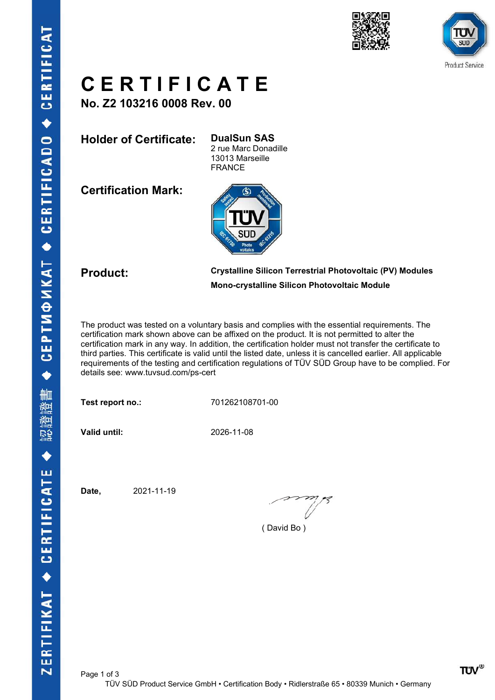



### C E R T I F I C A T E

No. Z2 103216 0008 Rev. 00

Holder of Certificate: DualSun SAS

2 rue Marc Donadille 13013 Marseille FRANCE

Certification Mark:



### Product: Crystalline Silicon Terrestrial Photovoltaic (PV) Modules Mono-crystalline Silicon Photovoltaic Module

The product was tested on a voluntary basis and complies with the essential requirements. The certification mark shown above can be affixed on the product. It is not permitted to alter the certification mark in any way. In addition, the certification holder must not transfer the certificate to third parties. This certificate is valid until the listed date, unless it is cancelled earlier. All applicable requirements of the testing and certification regulations of TÜV SÜD Group have to be complied. For details see: www.tuvsud.com/ps-cert

Test report no.: 701262108701-00

Valid until: 2026-11-08

Date, 2021-11-19

( David Bo )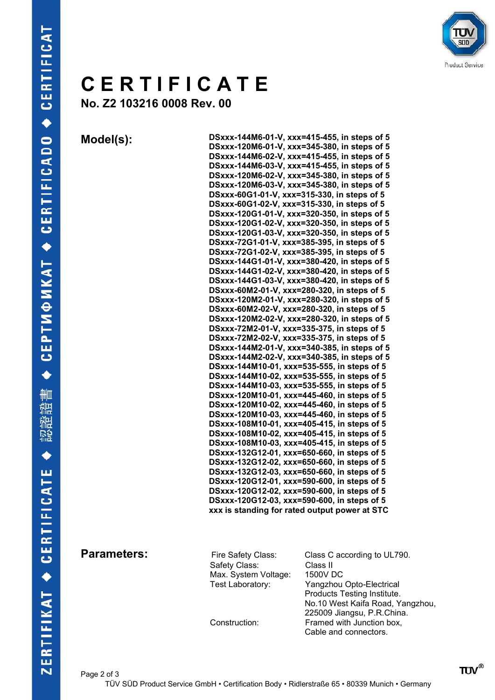

## C E R T I F I C A T E

No. Z2 103216 0008 Rev. 00

Model(s): DSxxx-144M6-01-V, xxx=415-455, in steps of 5 DSxxx-120M6-01-V, xxx=345-380, in steps of 5 DSxxx-144M6-02-V, xxx=415-455, in steps of 5 DSxxx-144M6-03-V, xxx=415-455, in steps of 5 DSxxx-120M6-02-V, xxx=345-380, in steps of 5 DSxxx-120M6-03-V, xxx=345-380, in steps of 5 DSxxx-60G1-01-V, xxx=315-330, in steps of 5 DSxxx-60G1-02-V, xxx=315-330, in steps of 5 DSxxx-120G1-01-V, xxx=320-350, in steps of 5 DSxxx-120G1-02-V, xxx=320-350, in steps of 5 DSxxx-120G1-03-V, xxx=320-350, in steps of 5 DSxxx-72G1-01-V, xxx=385-395, in steps of 5 DSxxx-72G1-02-V, xxx=385-395, in steps of 5 DSxxx-144G1-01-V, xxx=380-420, in steps of 5 DSxxx-144G1-02-V, xxx=380-420, in steps of 5 DSxxx-144G1-03-V, xxx=380-420, in steps of 5 DSxxx-60M2-01-V, xxx=280-320, in steps of 5 DSxxx-120M2-01-V, xxx=280-320, in steps of 5 DSxxx-60M2-02-V, xxx=280-320, in steps of 5 DSxxx-120M2-02-V, xxx=280-320, in steps of 5 DSxxx-72M2-01-V, xxx=335-375, in steps of 5 DSxxx-72M2-02-V, xxx=335-375, in steps of 5 DSxxx-144M2-01-V, xxx=340-385, in steps of 5 DSxxx-144M2-02-V, xxx=340-385, in steps of 5 DSxxx-144M10-01, xxx=535-555, in steps of 5 DSxxx-144M10-02, xxx=535-555, in steps of 5 DSxxx-144M10-03, xxx=535-555, in steps of 5 DSxxx-120M10-01, xxx=445-460, in steps of 5 DSxxx-120M10-02, xxx=445-460, in steps of 5 DSxxx-120M10-03, xxx=445-460, in steps of 5 DSxxx-108M10-01, xxx=405-415, in steps of 5 DSxxx-108M10-02, xxx=405-415, in steps of 5 DSxxx-108M10-03, xxx=405-415, in steps of 5 DSxxx-132G12-01, xxx=650-660, in steps of 5 DSxxx-132G12-02, xxx=650-660, in steps of 5 DSxxx-132G12-03, xxx=650-660, in steps of 5 DSxxx-120G12-01, xxx=590-600, in steps of 5 DSxxx-120G12-02, xxx=590-600, in steps of 5 DSxxx-120G12-03, xxx=590-600, in steps of 5 xxx is standing for rated output power at STC

Safety Class: Max. System Voltage: 1500V DC

**Parameters:** Fire Safety Class: Class C according to UL790.<br>Safety Class: Class II Test Laboratory: Yangzhou Opto-Electrical Products Testing Institute. No.10 West Kaifa Road, Yangzhou, 225009 Jiangsu, P.R.China.<br>Construction: Framed with Junction box. Framed with Junction box. Cable and connectors.